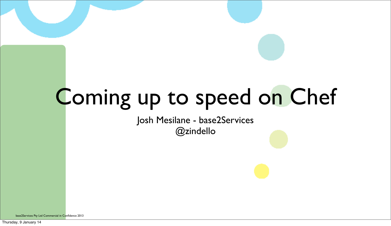# Coming up to speed on Chef

### Josh Mesilane - base2Services @zindello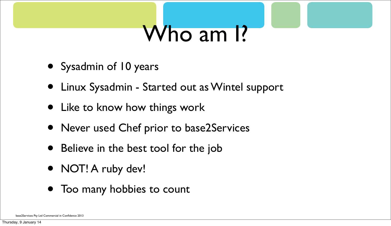# Who am I?

- Sysadmin of 10 years
- Linux Sysadmin Started out as Wintel support
- Like to know how things work
- Never used Chef prior to base2Services
- Believe in the best tool for the job
- NOT! A ruby dev!
- Too many hobbies to count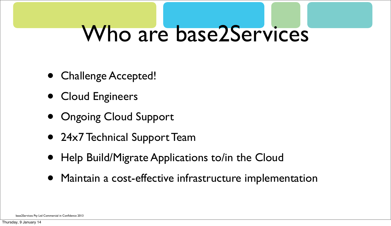### Who are base2Services

- Challenge Accepted!
- Cloud Engineers
- Ongoing Cloud Support
- 24x7 Technical Support Team
- Help Build/Migrate Applications to/in the Cloud
- Maintain a cost-effective infrastructure implementation

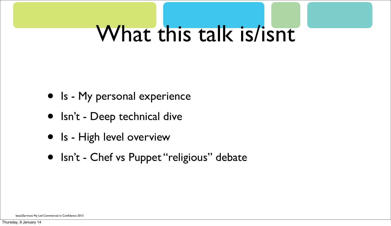### What this talk is/isnt

- Is My personal experience
- Isn't Deep technical dive
- Is High level overview
- Isn't Chef vs Puppet "religious" debate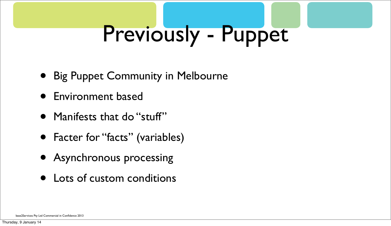# Previously - Puppet

- Big Puppet Community in Melbourne
- Environment based
- Manifests that do "stuff"
- Facter for "facts" (variables)
- Asynchronous processing
- Lots of custom conditions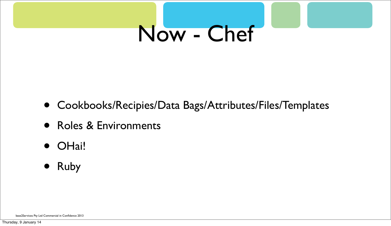# Now - Chef

- Cookbooks/Recipies/Data Bags/Attributes/Files/Templates
- Roles & Environments
- OHai!
- Ruby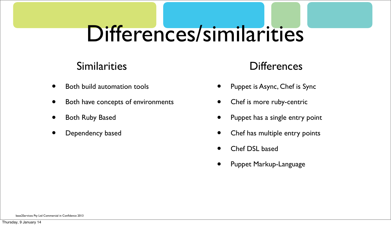- Both build automation tools
- Both have concepts of environments
- Both Ruby Based
- Dependency based
- Puppet is Async, Chef is Sync
- Chef is more ruby-centric
- Puppet has a single entry point
- Chef has multiple entry points
- Chef DSL based
- Puppet Markup-Language

# Differences/similarities

### Similarities Differences

base2Services Pty Ltd Commercial in Confidence 2013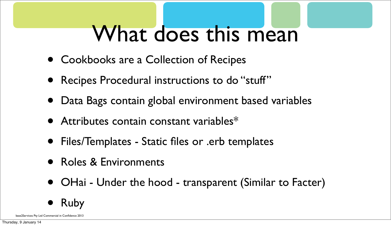### What does this mean

- Cookbooks are a Collection of Recipes
- Recipes Procedural instructions to do "stuff"
- Data Bags contain global environment based variables
- Attributes contain constant variables\*
- Files/Templates Static files or .erb templates
- Roles & Environments
- OHai Under the hood transparent (Similar to Facter)

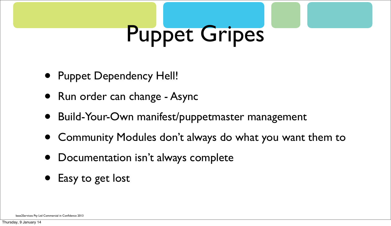# Puppet Gripes

- Puppet Dependency Hell!
- Run order can change Async
- Build-Your-Own manifest/puppetmaster management
- Community Modules don't always do what you want them to
- Documentation isn't always complete
- Easy to get lost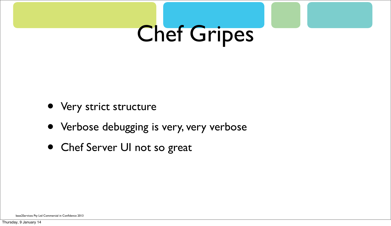# Chef Gripes

- Very strict structure
- Verbose debugging is very, very verbose
- Chef Server UI not so great

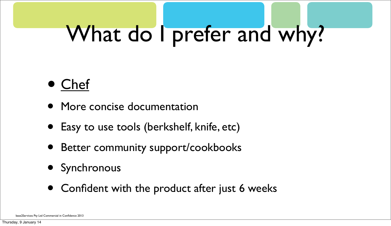- More concise documentation
- Easy to use tools (berkshelf, knife, etc)
- Better community support/cookbooks
- Synchronous
- Confident with the product after just 6 weeks

### What do I prefer and why?

### • Chef

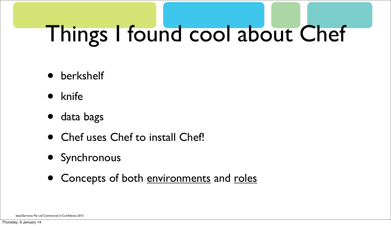- berkshelf
- knife
- data bags
- Chef uses Chef to install Chef!
- Synchronous
- Concepts of both environments and roles

# Things I found cool about Chef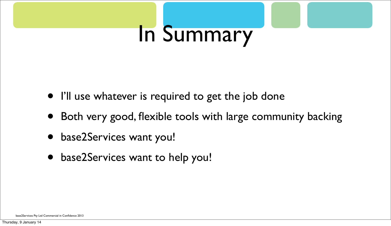# In Summary

- I'll use whatever is required to get the job done
- Both very good, flexible tools with large community backing
- base2Services want you!
- base2Services want to help you!